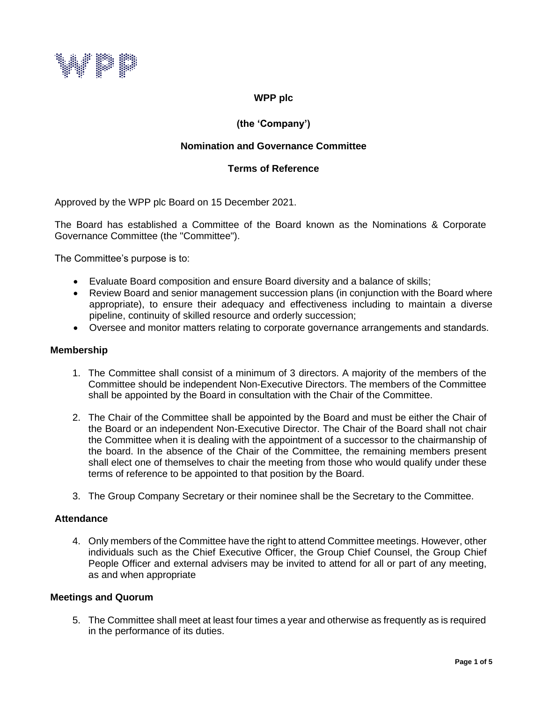

# **WPP plc**

# **(the 'Company')**

# **Nomination and Governance Committee**

## **Terms of Reference**

Approved by the WPP plc Board on 15 December 2021.

The Board has established a Committee of the Board known as the Nominations & Corporate Governance Committee (the "Committee").

The Committee's purpose is to:

- Evaluate Board composition and ensure Board diversity and a balance of skills;
- Review Board and senior management succession plans (in conjunction with the Board where appropriate), to ensure their adequacy and effectiveness including to maintain a diverse pipeline, continuity of skilled resource and orderly succession;
- Oversee and monitor matters relating to corporate governance arrangements and standards.

## **Membership**

- 1. The Committee shall consist of a minimum of 3 directors. A majority of the members of the Committee should be independent Non-Executive Directors. The members of the Committee shall be appointed by the Board in consultation with the Chair of the Committee.
- 2. The Chair of the Committee shall be appointed by the Board and must be either the Chair of the Board or an independent Non-Executive Director. The Chair of the Board shall not chair the Committee when it is dealing with the appointment of a successor to the chairmanship of the board. In the absence of the Chair of the Committee, the remaining members present shall elect one of themselves to chair the meeting from those who would qualify under these terms of reference to be appointed to that position by the Board.
- 3. The Group Company Secretary or their nominee shall be the Secretary to the Committee.

## **Attendance**

4. Only members of the Committee have the right to attend Committee meetings. However, other individuals such as the Chief Executive Officer, the Group Chief Counsel, the Group Chief People Officer and external advisers may be invited to attend for all or part of any meeting, as and when appropriate

## **Meetings and Quorum**

5. The Committee shall meet at least four times a year and otherwise as frequently as is required in the performance of its duties.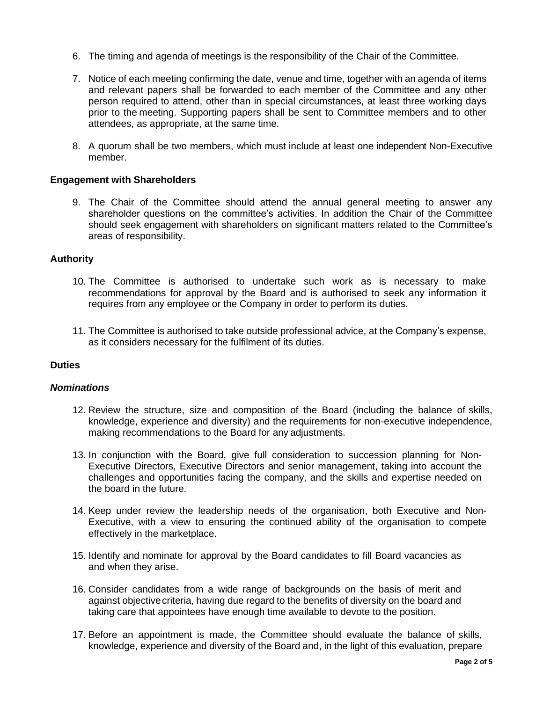- 6. The timing and agenda of meetings is the responsibility of the Chair of the Committee.
- 7. Notice of each meeting confirming the date, venue and time, together with an agenda of items and relevant papers shall be forwarded to each member of the Committee and any other person required to attend, other than in special circumstances, at least three working days prior to the meeting. Supporting papers shall be sent to Committee members and to other attendees, as appropriate, at the same time.
- 8. A quorum shall be two members, which must include at least one independent Non-Executive member.

## **Engagement with Shareholders**

9. The Chair of the Committee should attend the annual general meeting to answer any shareholder questions on the committee's activities. In addition the Chair of the Committee should seek engagement with shareholders on significant matters related to the Committee's areas of responsibility.

### **Authority**

- 10. The Committee is authorised to undertake such work as is necessary to make recommendations for approval by the Board and is authorised to seek any information it requires from any employee or the Company in order to perform its duties.
- 11. The Committee is authorised to take outside professional advice, at the Company's expense, as it considers necessary for the fulfilment of its duties.

### **Duties**

#### *Nominations*

- 12. Review the structure, size and composition of the Board (including the balance of skills, knowledge, experience and diversity) and the requirements for non-executive independence, making recommendations to the Board for any adjustments.
- 13. In conjunction with the Board, give full consideration to succession planning for Non-Executive Directors, Executive Directors and senior management, taking into account the challenges and opportunities facing the company, and the skills and expertise needed on the board in the future.
- 14. Keep under review the leadership needs of the organisation, both Executive and Non-Executive, with a view to ensuring the continued ability of the organisation to compete effectively in the marketplace.
- 15. Identify and nominate for approval by the Board candidates to fill Board vacancies as and when they arise.
- 16. Consider candidates from a wide range of backgrounds on the basis of merit and against objective criteria, having due regard to the benefits of diversity on the board and taking care that appointees have enough time available to devote to the position.
- 17. Before an appointment is made, the Committee should evaluate the balance of skills, knowledge, experience and diversity of the Board and, in the light of this evaluation, prepare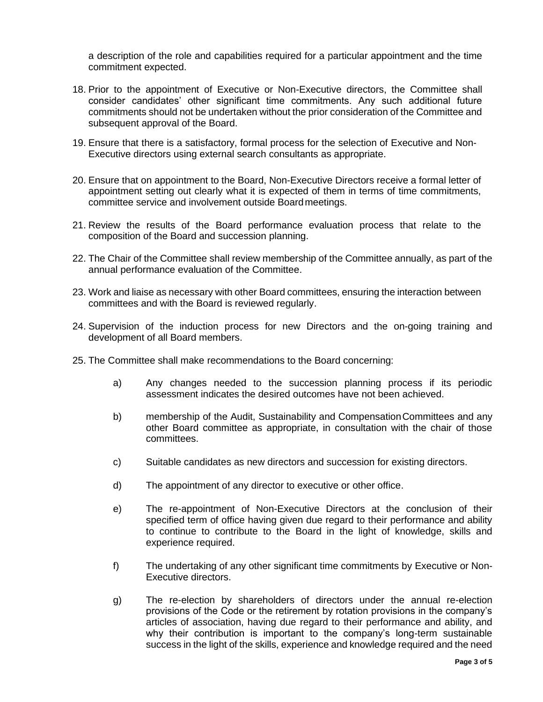a description of the role and capabilities required for a particular appointment and the time commitment expected.

- 18. Prior to the appointment of Executive or Non-Executive directors, the Committee shall consider candidates' other significant time commitments. Any such additional future commitments should not be undertaken without the prior consideration of the Committee and subsequent approval of the Board.
- 19. Ensure that there is a satisfactory, formal process for the selection of Executive and Non-Executive directors using external search consultants as appropriate.
- 20. Ensure that on appointment to the Board, Non-Executive Directors receive a formal letter of appointment setting out clearly what it is expected of them in terms of time commitments, committee service and involvement outside Boardmeetings.
- 21. Review the results of the Board performance evaluation process that relate to the composition of the Board and succession planning.
- 22. The Chair of the Committee shall review membership of the Committee annually, as part of the annual performance evaluation of the Committee.
- 23. Work and liaise as necessary with other Board committees, ensuring the interaction between committees and with the Board is reviewed regularly.
- 24. Supervision of the induction process for new Directors and the on-going training and development of all Board members.
- 25. The Committee shall make recommendations to the Board concerning:
	- a) Any changes needed to the succession planning process if its periodic assessment indicates the desired outcomes have not been achieved.
	- b) membership of the Audit, Sustainability and CompensationCommittees and any other Board committee as appropriate, in consultation with the chair of those committees.
	- c) Suitable candidates as new directors and succession for existing directors.
	- d) The appointment of any director to executive or other office.
	- e) The re-appointment of Non-Executive Directors at the conclusion of their specified term of office having given due regard to their performance and ability to continue to contribute to the Board in the light of knowledge, skills and experience required.
	- f) The undertaking of any other significant time commitments by Executive or Non-Executive directors.
	- g) The re-election by shareholders of directors under the annual re-election provisions of the Code or the retirement by rotation provisions in the company's articles of association, having due regard to their performance and ability, and why their contribution is important to the company's long-term sustainable success in the light of the skills, experience and knowledge required and the need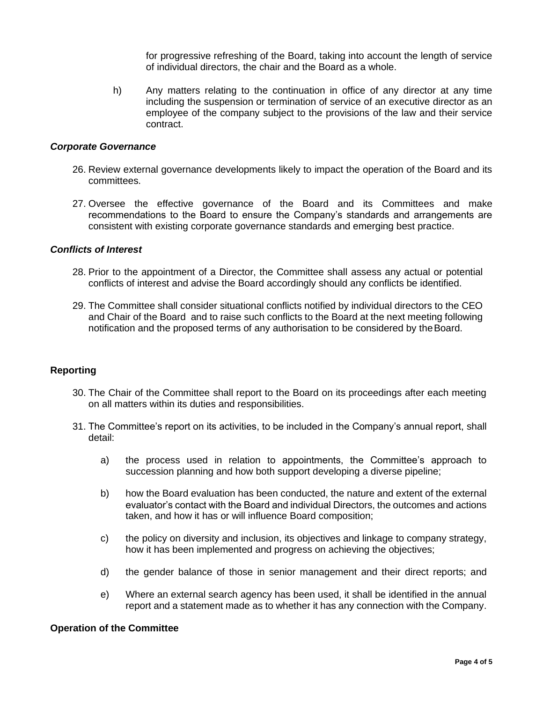for progressive refreshing of the Board, taking into account the length of service of individual directors, the chair and the Board as a whole.

h) Any matters relating to the continuation in office of any director at any time including the suspension or termination of service of an executive director as an employee of the company subject to the provisions of the law and their service contract.

#### *Corporate Governance*

- 26. Review external governance developments likely to impact the operation of the Board and its committees.
- 27. Oversee the effective governance of the Board and its Committees and make recommendations to the Board to ensure the Company's standards and arrangements are consistent with existing corporate governance standards and emerging best practice.

## *Conflicts of Interest*

- 28. Prior to the appointment of a Director, the Committee shall assess any actual or potential conflicts of interest and advise the Board accordingly should any conflicts be identified.
- 29. The Committee shall consider situational conflicts notified by individual directors to the CEO and Chair of the Board and to raise such conflicts to the Board at the next meeting following notification and the proposed terms of any authorisation to be considered by theBoard.

## **Reporting**

- 30. The Chair of the Committee shall report to the Board on its proceedings after each meeting on all matters within its duties and responsibilities.
- 31. The Committee's report on its activities, to be included in the Company's annual report, shall detail:
	- a) the process used in relation to appointments, the Committee's approach to succession planning and how both support developing a diverse pipeline;
	- b) how the Board evaluation has been conducted, the nature and extent of the external evaluator's contact with the Board and individual Directors, the outcomes and actions taken, and how it has or will influence Board composition;
	- c) the policy on diversity and inclusion, its objectives and linkage to company strategy, how it has been implemented and progress on achieving the objectives;
	- d) the gender balance of those in senior management and their direct reports; and
	- e) Where an external search agency has been used, it shall be identified in the annual report and a statement made as to whether it has any connection with the Company.

### **Operation of the Committee**